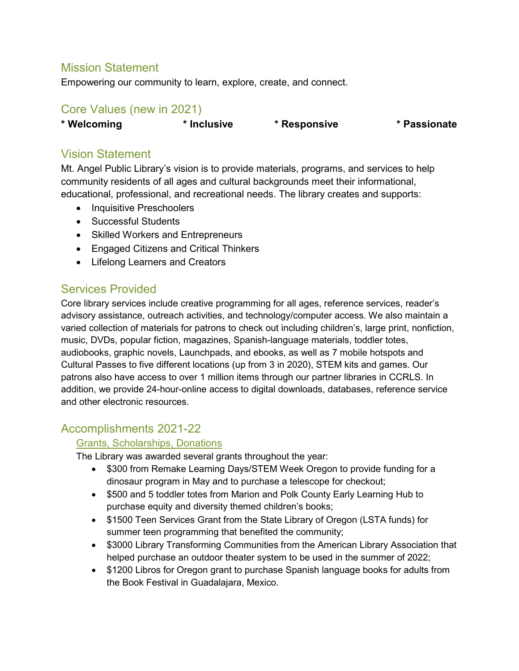# Mission Statement

Empowering our community to learn, explore, create, and connect.

#### Core Values (new in 2021)

**\* Welcoming \* Inclusive \* Responsive \* Passionate**

# Vision Statement

Mt. Angel Public Library's vision is to provide materials, programs, and services to help community residents of all ages and cultural backgrounds meet their informational, educational, professional, and recreational needs. The library creates and supports:

- Inquisitive Preschoolers
- Successful Students
- Skilled Workers and Entrepreneurs
- Engaged Citizens and Critical Thinkers
- Lifelong Learners and Creators

# Services Provided

Core library services include creative programming for all ages, reference services, reader's advisory assistance, outreach activities, and technology/computer access. We also maintain a varied collection of materials for patrons to check out including children's, large print, nonfiction, music, DVDs, popular fiction, magazines, Spanish-language materials, toddler totes, audiobooks, graphic novels, Launchpads, and ebooks, as well as 7 mobile hotspots and Cultural Passes to five different locations (up from 3 in 2020), STEM kits and games. Our patrons also have access to over 1 million items through our partner libraries in CCRLS. In addition, we provide 24-hour-online access to digital downloads, databases, reference service and other electronic resources.

# Accomplishments 2021-22

### Grants, Scholarships, Donations

The Library was awarded several grants throughout the year:

- \$300 from Remake Learning Days/STEM Week Oregon to provide funding for a dinosaur program in May and to purchase a telescope for checkout;
- \$500 and 5 toddler totes from Marion and Polk County Early Learning Hub to purchase equity and diversity themed children's books;
- \$1500 Teen Services Grant from the State Library of Oregon (LSTA funds) for summer teen programming that benefited the community;
- \$3000 Library Transforming Communities from the American Library Association that helped purchase an outdoor theater system to be used in the summer of 2022;
- \$1200 Libros for Oregon grant to purchase Spanish language books for adults from the Book Festival in Guadalajara, Mexico.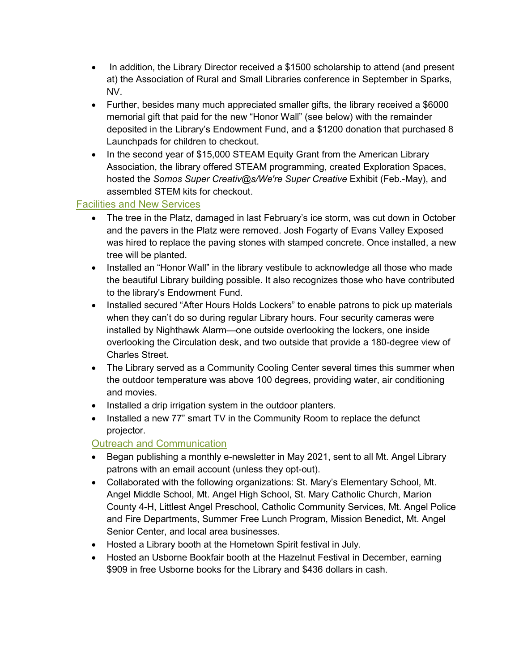- In addition, the Library Director received a \$1500 scholarship to attend (and present at) the Association of Rural and Small Libraries conference in September in Sparks, NV.
- Further, besides many much appreciated smaller gifts, the library received a \$6000 memorial gift that paid for the new "Honor Wall" (see below) with the remainder deposited in the Library's Endowment Fund, and a \$1200 donation that purchased 8 Launchpads for children to checkout.
- In the second year of \$15,000 STEAM Equity Grant from the American Library Association, the library offered STEAM programming, created Exploration Spaces, hosted the *Somos Super Creativ@s/We're Super Creative* Exhibit (Feb.-May), and assembled STEM kits for checkout.

### Facilities and New Services

- The tree in the Platz, damaged in last February's ice storm, was cut down in October and the pavers in the Platz were removed. Josh Fogarty of Evans Valley Exposed was hired to replace the paving stones with stamped concrete. Once installed, a new tree will be planted.
- Installed an "Honor Wall" in the library vestibule to acknowledge all those who made the beautiful Library building possible. It also recognizes those who have contributed to the library's Endowment Fund.
- Installed secured "After Hours Holds Lockers" to enable patrons to pick up materials when they can't do so during regular Library hours. Four security cameras were installed by Nighthawk Alarm—one outside overlooking the lockers, one inside overlooking the Circulation desk, and two outside that provide a 180-degree view of Charles Street.
- The Library served as a Community Cooling Center several times this summer when the outdoor temperature was above 100 degrees, providing water, air conditioning and movies.
- Installed a drip irrigation system in the outdoor planters.
- Installed a new 77" smart TV in the Community Room to replace the defunct projector.

### Outreach and Communication

- Began publishing a monthly e-newsletter in May 2021, sent to all Mt. Angel Library patrons with an email account (unless they opt-out).
- Collaborated with the following organizations: St. Mary's Elementary School, Mt. Angel Middle School, Mt. Angel High School, St. Mary Catholic Church, Marion County 4-H, Littlest Angel Preschool, Catholic Community Services, Mt. Angel Police and Fire Departments, Summer Free Lunch Program, Mission Benedict, Mt. Angel Senior Center, and local area businesses.
- Hosted a Library booth at the Hometown Spirit festival in July.
- Hosted an Usborne Bookfair booth at the Hazelnut Festival in December, earning \$909 in free Usborne books for the Library and \$436 dollars in cash.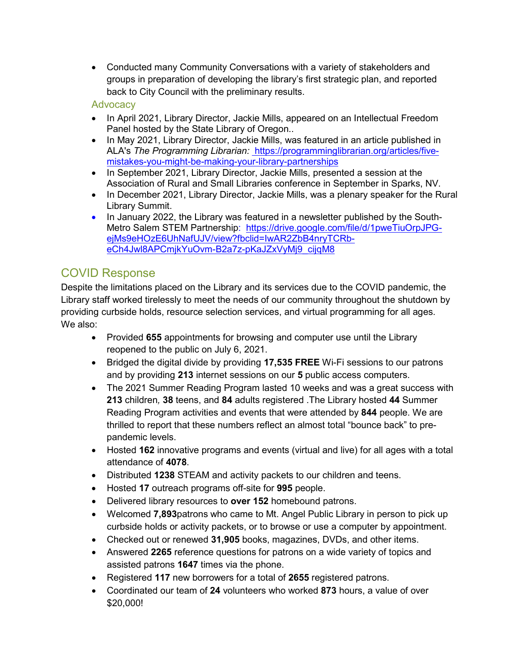• Conducted many Community Conversations with a variety of stakeholders and groups in preparation of developing the library's first strategic plan, and reported back to City Council with the preliminary results.

#### **Advocacy**

- In April 2021, Library Director, Jackie Mills, appeared on an Intellectual Freedom Panel hosted by the State Library of Oregon..
- In May 2021, Library Director, Jackie Mills, was featured in an article published in ALA's *The Programming Librarian:* [https://programminglibrarian.org/articles/five](https://programminglibrarian.org/articles/five-mistakes-you-might-be-making-your-library-partnerships)[mistakes-you-might-be-making-your-library-partnerships](https://programminglibrarian.org/articles/five-mistakes-you-might-be-making-your-library-partnerships)
- In September 2021, Library Director, Jackie Mills, presented a session at the Association of Rural and Small Libraries conference in September in Sparks, NV.
- In December 2021, Library Director, Jackie Mills, was a plenary speaker for the Rural Library Summit.
- In January 2022, the Library was featured in a newsletter published by the South-Metro Salem STEM Partnership: [https://drive.google.com/file/d/1pweTiuOrpJPG](https://drive.google.com/file/d/1pweTiuOrpJPG-ejMs9eHOzE6UhNafUJV/view?fbclid=IwAR2ZbB4nryTCRb-eCh4Jwl8APCmjkYuOvm-B2a7z-pKaJZxVyMj9_cijqM8)[ejMs9eHOzE6UhNafUJV/view?fbclid=IwAR2ZbB4nryTCRb](https://drive.google.com/file/d/1pweTiuOrpJPG-ejMs9eHOzE6UhNafUJV/view?fbclid=IwAR2ZbB4nryTCRb-eCh4Jwl8APCmjkYuOvm-B2a7z-pKaJZxVyMj9_cijqM8)[eCh4Jwl8APCmjkYuOvm-B2a7z-pKaJZxVyMj9\\_cijqM8](https://drive.google.com/file/d/1pweTiuOrpJPG-ejMs9eHOzE6UhNafUJV/view?fbclid=IwAR2ZbB4nryTCRb-eCh4Jwl8APCmjkYuOvm-B2a7z-pKaJZxVyMj9_cijqM8)

# COVID Response

Despite the limitations placed on the Library and its services due to the COVID pandemic, the Library staff worked tirelessly to meet the needs of our community throughout the shutdown by providing curbside holds, resource selection services, and virtual programming for all ages. We also:

- Provided **655** appointments for browsing and computer use until the Library reopened to the public on July 6, 2021.
- Bridged the digital divide by providing **17,535 FREE** Wi-Fi sessions to our patrons and by providing **213** internet sessions on our **5** public access computers.
- The 2021 Summer Reading Program lasted 10 weeks and was a great success with **213** children*,* **38** teens, and **84** adults registered .The Library hosted **44** Summer Reading Program activities and events that were attended by **844** people. We are thrilled to report that these numbers reflect an almost total "bounce back" to prepandemic levels.
- Hosted **162** innovative programs and events (virtual and live) for all ages with a total attendance of **4078**.
- Distributed **1238** STEAM and activity packets to our children and teens.
- Hosted **17** outreach programs off-site for **995** people.
- Delivered library resources to **over 152** homebound patrons.
- Welcomed **7,893**patrons who came to Mt. Angel Public Library in person to pick up curbside holds or activity packets, or to browse or use a computer by appointment.
- Checked out or renewed **31,905** books, magazines, DVDs, and other items.
- Answered **2265** reference questions for patrons on a wide variety of topics and assisted patrons **1647** times via the phone.
- Registered **117** new borrowers for a total of **2655** registered patrons.
- Coordinated our team of **24** volunteers who worked **873** hours, a value of over \$20,000!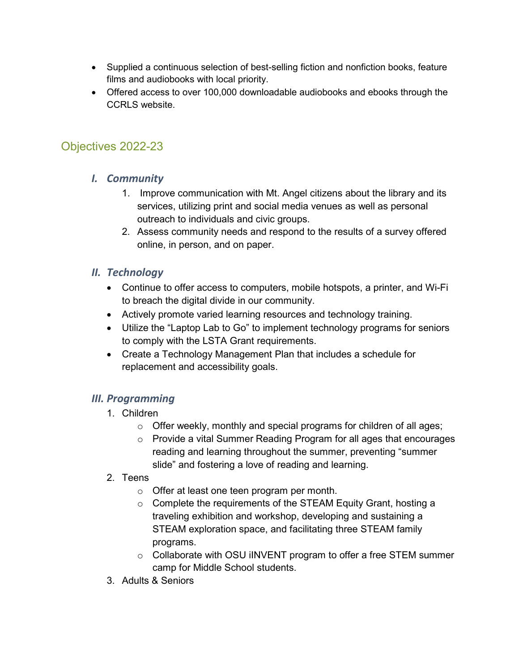- Supplied a continuous selection of best-selling fiction and nonfiction books, feature films and audiobooks with local priority.
- Offered access to over 100,000 downloadable audiobooks and ebooks through the CCRLS website.

# Objectives 2022-23

## *I. Community*

- 1. Improve communication with Mt. Angel citizens about the library and its services, utilizing print and social media venues as well as personal outreach to individuals and civic groups.
- 2. Assess community needs and respond to the results of a survey offered online, in person, and on paper.

## *II. Technology*

- Continue to offer access to computers, mobile hotspots, a printer, and Wi-Fi to breach the digital divide in our community.
- Actively promote varied learning resources and technology training.
- Utilize the "Laptop Lab to Go" to implement technology programs for seniors to comply with the LSTA Grant requirements.
- Create a Technology Management Plan that includes a schedule for replacement and accessibility goals.

## *III. Programming*

- 1. Children
	- $\circ$  Offer weekly, monthly and special programs for children of all ages;
	- o Provide a vital Summer Reading Program for all ages that encourages reading and learning throughout the summer, preventing "summer slide" and fostering a love of reading and learning.

### 2. Teens

- o Offer at least one teen program per month.
- o Complete the requirements of the STEAM Equity Grant, hosting a traveling exhibition and workshop, developing and sustaining a STEAM exploration space, and facilitating three STEAM family programs.
- $\circ$  Collaborate with OSU iINVENT program to offer a free STEM summer camp for Middle School students.
- 3. Adults & Seniors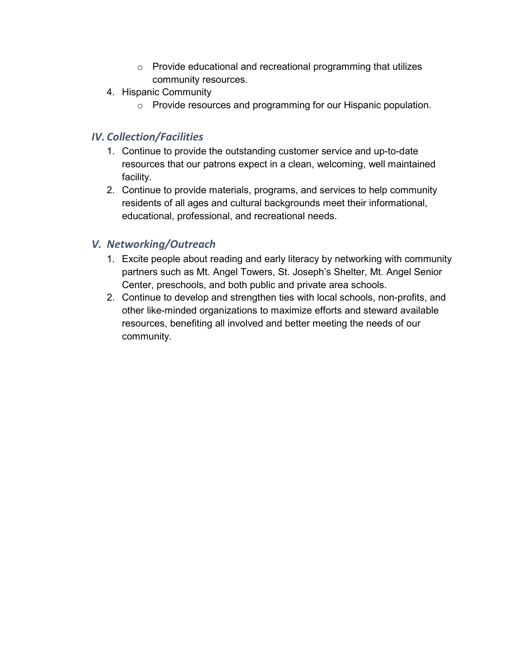- o Provide educational and recreational programming that utilizes community resources.
- 4. Hispanic Community
	- o Provide resources and programming for our Hispanic population.

# *IV. Collection/Facilities*

- 1. Continue to provide the outstanding customer service and up-to-date resources that our patrons expect in a clean, welcoming, well maintained facility.
- 2. Continue to provide materials, programs, and services to help community residents of all ages and cultural backgrounds meet their informational, educational, professional, and recreational needs.

## *V. Networking/Outreach*

- 1. Excite people about reading and early literacy by networking with community partners such as Mt. Angel Towers, St. Joseph's Shelter, Mt. Angel Senior Center, preschools, and both public and private area schools.
- 2. Continue to develop and strengthen ties with local schools, non-profits, and other like-minded organizations to maximize efforts and steward available resources, benefiting all involved and better meeting the needs of our community.